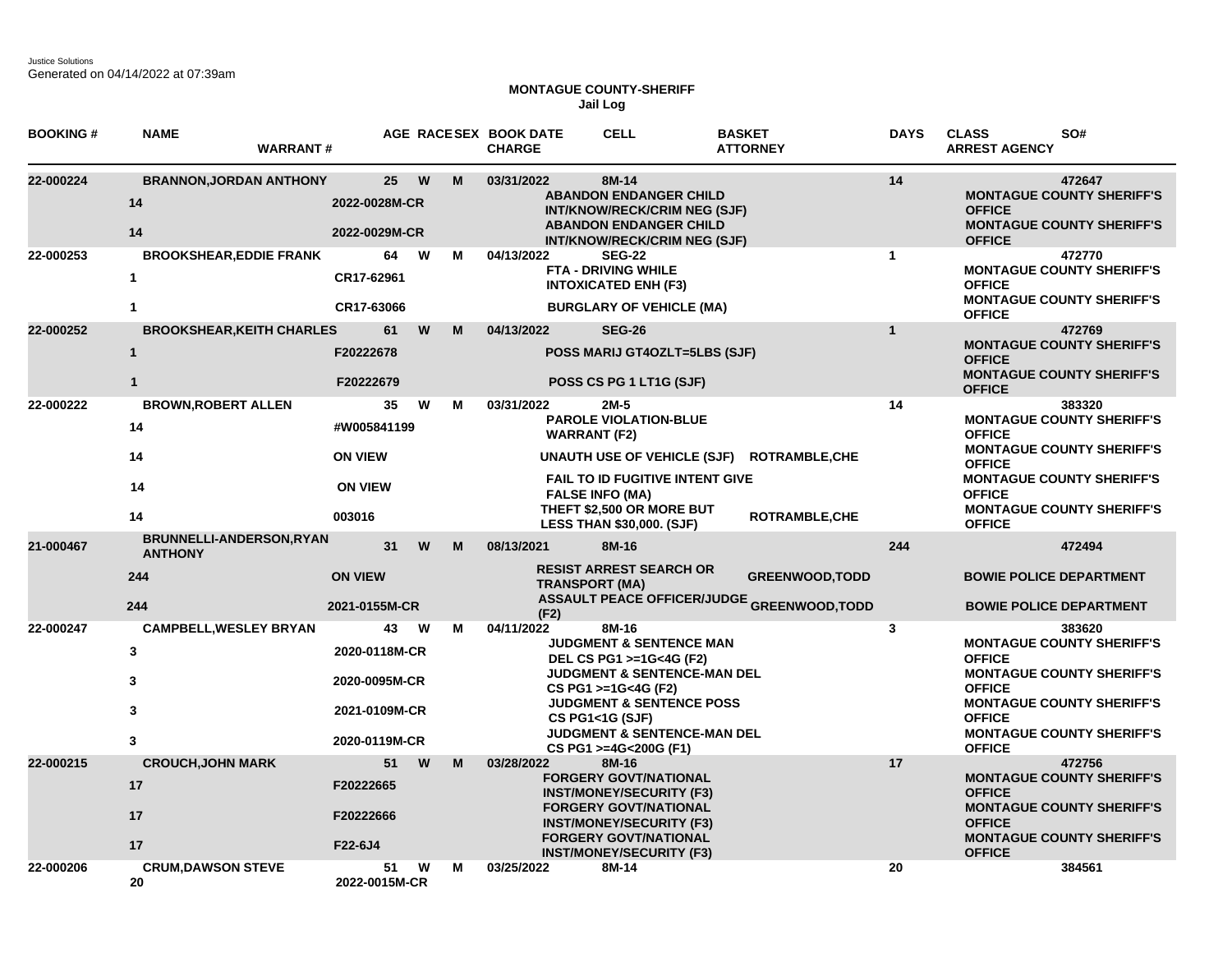## **MONTAGUE COUNTY-SHERIFF Jail Log**

| <b>BOOKING#</b> | <b>NAME</b><br><b>WARRANT#</b>                                   |                                                                        |   |        | AGE RACESEX BOOK DATE<br><b>CHARGE</b> | <b>CELL</b>                                                                                                                                                                                                                                                          | <b>BASKET</b><br><b>ATTORNEY</b>                                            | <b>DAYS</b>  | <b>CLASS</b><br>SO#<br><b>ARREST AGENCY</b>                                                                                                                                                                                |
|-----------------|------------------------------------------------------------------|------------------------------------------------------------------------|---|--------|----------------------------------------|----------------------------------------------------------------------------------------------------------------------------------------------------------------------------------------------------------------------------------------------------------------------|-----------------------------------------------------------------------------|--------------|----------------------------------------------------------------------------------------------------------------------------------------------------------------------------------------------------------------------------|
| 22-000224       | <b>BRANNON, JORDAN ANTHONY</b><br>14<br>14                       | 25<br>2022-0028M-CR<br>2022-0029M-CR                                   |   | W<br>M | 03/31/2022                             | 8M-14<br><b>ABANDON ENDANGER CHILD</b><br>INT/KNOW/RECK/CRIM NEG (SJF)<br><b>ABANDON ENDANGER CHILD</b><br>INT/KNOW/RECK/CRIM NEG (SJF)                                                                                                                              |                                                                             | 14           | 472647<br><b>MONTAGUE COUNTY SHERIFF'S</b><br><b>OFFICE</b><br><b>MONTAGUE COUNTY SHERIFF'S</b><br><b>OFFICE</b>                                                                                                           |
| 22-000253       | <b>BROOKSHEAR, EDDIE FRANK</b><br>$\mathbf{1}$<br>$\mathbf{1}$   | 64<br>CR17-62961<br>CR17-63066                                         |   | W<br>м | 04/13/2022                             | <b>SEG-22</b><br><b>FTA - DRIVING WHILE</b><br><b>INTOXICATED ENH (F3)</b><br><b>BURGLARY OF VEHICLE (MA)</b>                                                                                                                                                        |                                                                             | $\mathbf{1}$ | 472770<br><b>MONTAGUE COUNTY SHERIFF'S</b><br><b>OFFICE</b><br><b>MONTAGUE COUNTY SHERIFF'S</b><br><b>OFFICE</b>                                                                                                           |
| 22-000252       | <b>BROOKSHEAR, KEITH CHARLES</b><br>$\mathbf{1}$<br>$\mathbf{1}$ | 61<br>F20222678<br>F20222679                                           |   | W<br>M | 04/13/2022                             | <b>SEG-26</b><br><b>POSS MARIJ GT4OZLT=5LBS (SJF)</b><br>POSS CS PG 1 LT1G (SJF)                                                                                                                                                                                     |                                                                             | $\mathbf{1}$ | 472769<br><b>MONTAGUE COUNTY SHERIFF'S</b><br><b>OFFICE</b><br><b>MONTAGUE COUNTY SHERIFF'S</b><br><b>OFFICE</b>                                                                                                           |
| 22-000222       | <b>BROWN, ROBERT ALLEN</b><br>14<br>14<br>14<br>14               | 35<br>#W005841199<br><b>ON VIEW</b><br><b>ON VIEW</b><br>003016        |   | W<br>м | 03/31/2022                             | $2M-5$<br><b>PAROLE VIOLATION-BLUE</b><br><b>WARRANT (F2)</b><br><b>UNAUTH USE OF VEHICLE (SJF)</b><br><b>FAIL TO ID FUGITIVE INTENT GIVE</b><br><b>FALSE INFO (MA)</b><br>THEFT \$2,500 OR MORE BUT<br><b>LESS THAN \$30,000. (SJF)</b>                             | <b>ROTRAMBLE, CHE</b><br><b>ROTRAMBLE, CHE</b>                              | 14           | 383320<br><b>MONTAGUE COUNTY SHERIFF'S</b><br><b>OFFICE</b><br><b>MONTAGUE COUNTY SHERIFF'S</b><br><b>OFFICE</b><br><b>MONTAGUE COUNTY SHERIFF'S</b><br><b>OFFICE</b><br><b>MONTAGUE COUNTY SHERIFF'S</b><br><b>OFFICE</b> |
| 21-000467       | BRUNNELLI-ANDERSON, RYAN<br><b>ANTHONY</b><br>244<br>244         | 31<br><b>ON VIEW</b><br>2021-0155M-CR                                  |   | W<br>M | 08/13/2021<br>(F2)                     | 8M-16<br><b>RESIST ARREST SEARCH OR</b><br><b>TRANSPORT (MA)</b>                                                                                                                                                                                                     | <b>GREENWOOD, TODD</b><br><b>ASSAULT PEACE OFFICER/JUDGE GREENWOOD,TODD</b> | 244          | 472494<br><b>BOWIE POLICE DEPARTMENT</b><br><b>BOWIE POLICE DEPARTMENT</b>                                                                                                                                                 |
| 22-000247       | <b>CAMPBELL, WESLEY BRYAN</b><br>3<br>3<br>3<br>3                | 43<br>2020-0118M-CR<br>2020-0095M-CR<br>2021-0109M-CR<br>2020-0119M-CR | W | м      | 04/11/2022                             | 8M-16<br><b>JUDGMENT &amp; SENTENCE MAN</b><br>DEL CS PG1 >=1G<4G (F2)<br><b>JUDGMENT &amp; SENTENCE-MAN DEL</b><br>CS PG1 >=1G<4G (F2)<br><b>JUDGMENT &amp; SENTENCE POSS</b><br>CS PG1<1G (SJF)<br><b>JUDGMENT &amp; SENTENCE-MAN DEL</b><br>CS PG1 >=4G<200G (F1) |                                                                             | $\mathbf{3}$ | 383620<br><b>MONTAGUE COUNTY SHERIFF'S</b><br><b>OFFICE</b><br><b>MONTAGUE COUNTY SHERIFF'S</b><br><b>OFFICE</b><br><b>MONTAGUE COUNTY SHERIFF'S</b><br><b>OFFICE</b><br><b>MONTAGUE COUNTY SHERIFF'S</b><br><b>OFFICE</b> |
| 22-000215       | <b>CROUCH, JOHN MARK</b><br>17<br>17<br>17                       | 51<br>F20222665<br>F20222666<br>F22-6J4                                |   | W<br>M | 03/28/2022                             | 8M-16<br><b>FORGERY GOVT/NATIONAL</b><br><b>INST/MONEY/SECURITY (F3)</b><br><b>FORGERY GOVT/NATIONAL</b><br><b>INST/MONEY/SECURITY (F3)</b><br><b>FORGERY GOVT/NATIONAL</b><br><b>INST/MONEY/SECURITY (F3)</b>                                                       |                                                                             | 17           | 472756<br><b>MONTAGUE COUNTY SHERIFF'S</b><br><b>OFFICE</b><br><b>MONTAGUE COUNTY SHERIFF'S</b><br><b>OFFICE</b><br><b>MONTAGUE COUNTY SHERIFF'S</b><br><b>OFFICE</b>                                                      |
| 22-000206       | <b>CRUM, DAWSON STEVE</b><br>20                                  | 51<br>2022-0015M-CR                                                    |   | W<br>м | 03/25/2022                             | 8M-14                                                                                                                                                                                                                                                                |                                                                             | 20           | 384561                                                                                                                                                                                                                     |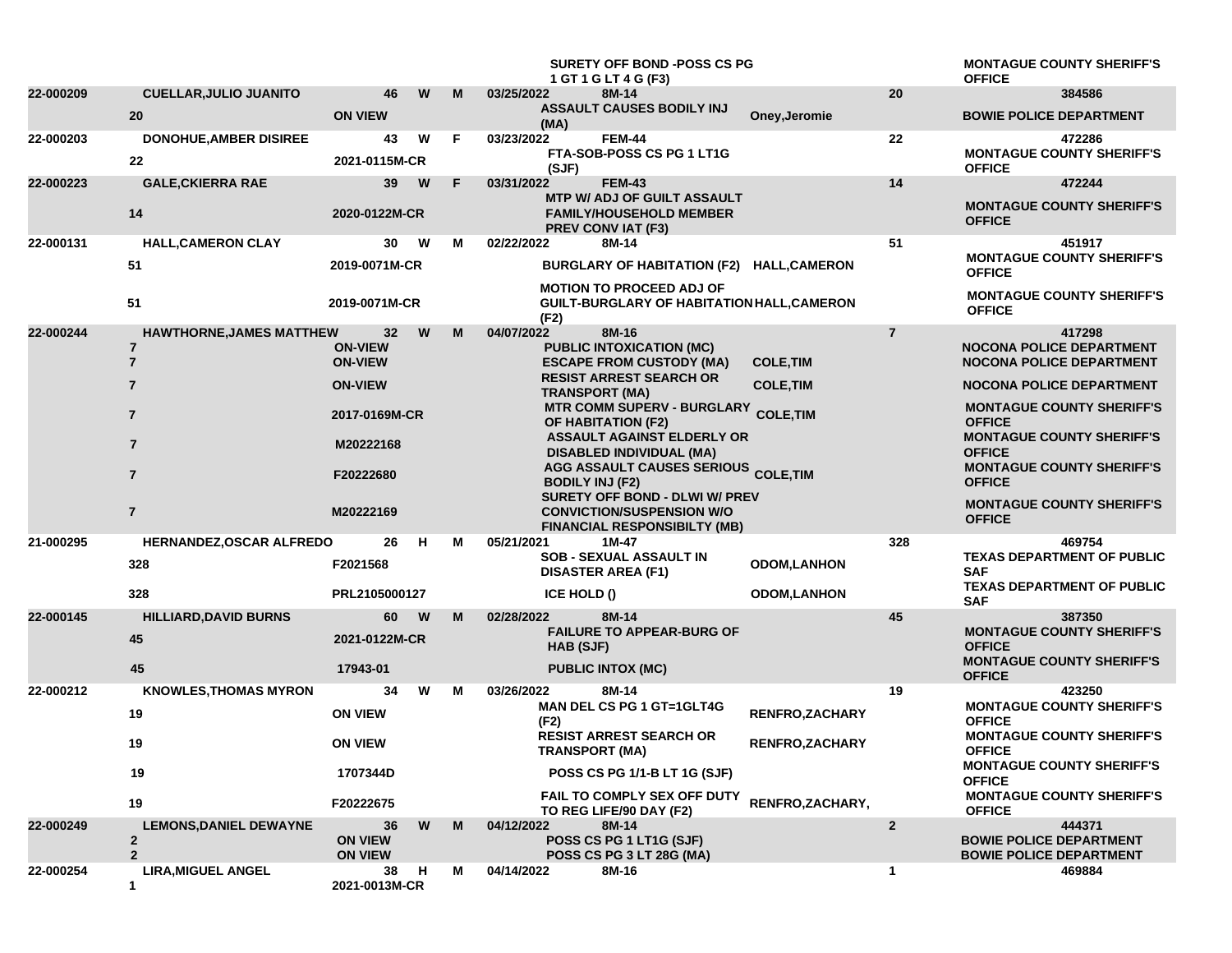|           |                                 |                                  |     |    | <b>SURETY OFF BOND -POSS CS PG</b><br>1 GT 1 G LT 4 G (F3)                                                |                                           |                | <b>MONTAGUE COUNTY SHERIFF'S</b><br><b>OFFICE</b>                |
|-----------|---------------------------------|----------------------------------|-----|----|-----------------------------------------------------------------------------------------------------------|-------------------------------------------|----------------|------------------------------------------------------------------|
| 22-000209 | <b>CUELLAR, JULIO JUANITO</b>   | 46                               | W   | M  | 03/25/2022<br>8M-14                                                                                       |                                           | 20             | 384586                                                           |
|           | 20                              | <b>ON VIEW</b>                   |     |    | <b>ASSAULT CAUSES BODILY INJ</b><br>(MA)                                                                  | Oney, Jeromie                             |                | <b>BOWIE POLICE DEPARTMENT</b>                                   |
| 22-000203 | <b>DONOHUE, AMBER DISIREE</b>   | 43                               | W   | F. | 03/23/2022<br><b>FEM-44</b>                                                                               |                                           | 22             | 472286                                                           |
|           | 22                              | 2021-0115M-CR                    |     |    | FTA-SOB-POSS CS PG 1 LT1G<br>(SJF)                                                                        |                                           |                | <b>MONTAGUE COUNTY SHERIFF'S</b><br><b>OFFICE</b>                |
| 22-000223 | <b>GALE, CKIERRA RAE</b>        | 39                               | W   | F  | 03/31/2022<br><b>FEM-43</b>                                                                               |                                           | 14             | 472244                                                           |
|           | 14                              | 2020-0122M-CR                    |     |    | <b>MTP W/ ADJ OF GUILT ASSAULT</b><br><b>FAMILY/HOUSEHOLD MEMBER</b><br><b>PREV CONVIAT (F3)</b>          |                                           |                | <b>MONTAGUE COUNTY SHERIFF'S</b><br><b>OFFICE</b>                |
| 22-000131 | <b>HALL, CAMERON CLAY</b>       | 30                               | W   | М  | 02/22/2022<br>8M-14                                                                                       |                                           | 51             | 451917                                                           |
|           | 51                              | 2019-0071M-CR                    |     |    |                                                                                                           | BURGLARY OF HABITATION (F2) HALL,CAMERON  |                | <b>MONTAGUE COUNTY SHERIFF'S</b><br><b>OFFICE</b>                |
|           | 51                              | 2019-0071M-CR                    |     |    | <b>MOTION TO PROCEED ADJ OF</b><br>(F2)                                                                   | GUILT-BURGLARY OF HABITATION HALL,CAMERON |                | <b>MONTAGUE COUNTY SHERIFF'S</b><br><b>OFFICE</b>                |
| 22-000244 | <b>HAWTHORNE, JAMES MATTHEW</b> | 32                               | W   | M  | 8M-16<br>04/07/2022                                                                                       |                                           | $\overline{7}$ | 417298                                                           |
|           | $\overline{7}$                  | <b>ON-VIEW</b>                   |     |    | <b>PUBLIC INTOXICATION (MC)</b>                                                                           |                                           |                | <b>NOCONA POLICE DEPARTMENT</b>                                  |
|           | $\overline{7}$                  | <b>ON-VIEW</b>                   |     |    | <b>ESCAPE FROM CUSTODY (MA)</b><br><b>RESIST ARREST SEARCH OR</b>                                         | <b>COLE, TIM</b>                          |                | <b>NOCONA POLICE DEPARTMENT</b>                                  |
|           | $\overline{7}$                  | <b>ON-VIEW</b>                   |     |    | <b>TRANSPORT (MA)</b>                                                                                     | <b>COLE, TIM</b>                          |                | <b>NOCONA POLICE DEPARTMENT</b>                                  |
|           | $\overline{\mathbf{r}}$         | 2017-0169M-CR                    |     |    | <b>MTR COMM SUPERV - BURGLARY</b><br><b>OF HABITATION (F2)</b>                                            | <b>COLE, TIM</b>                          |                | <b>MONTAGUE COUNTY SHERIFF'S</b><br><b>OFFICE</b>                |
|           | $\overline{7}$                  | M20222168                        |     |    | <b>ASSAULT AGAINST ELDERLY OR</b><br><b>DISABLED INDIVIDUAL (MA)</b>                                      |                                           |                | <b>MONTAGUE COUNTY SHERIFF'S</b><br><b>OFFICE</b>                |
|           | $\overline{7}$                  | F20222680                        |     |    | <b>AGG ASSAULT CAUSES SERIOUS COLE, TIM</b><br><b>BODILY INJ (F2)</b>                                     |                                           |                | <b>MONTAGUE COUNTY SHERIFF'S</b><br><b>OFFICE</b>                |
|           | $\overline{7}$                  | M20222169                        |     |    | SURETY OFF BOND - DLWI W/ PREV<br><b>CONVICTION/SUSPENSION W/O</b><br><b>FINANCIAL RESPONSIBILTY (MB)</b> |                                           |                | <b>MONTAGUE COUNTY SHERIFF'S</b><br><b>OFFICE</b>                |
| 21-000295 | HERNANDEZ, OSCAR ALFREDO        | 26                               | н   | М  | 05/21/2021<br>1M-47                                                                                       |                                           | 328            | 469754                                                           |
|           | 328                             | F2021568                         |     |    | <b>SOB - SEXUAL ASSAULT IN</b><br><b>DISASTER AREA (F1)</b>                                               | <b>ODOM,LANHON</b>                        |                | <b>TEXAS DEPARTMENT OF PUBLIC</b><br><b>SAF</b>                  |
|           | 328                             | PRL2105000127                    |     |    | ICE HOLD ()                                                                                               | <b>ODOM,LANHON</b>                        |                | <b>TEXAS DEPARTMENT OF PUBLIC</b><br><b>SAF</b>                  |
| 22-000145 | <b>HILLIARD, DAVID BURNS</b>    | 60                               | W   | м  | 8M-14<br>02/28/2022                                                                                       |                                           | 45             | 387350                                                           |
|           | 45                              | 2021-0122M-CR                    |     |    | <b>FAILURE TO APPEAR-BURG OF</b><br>HAB (SJF)                                                             |                                           |                | <b>MONTAGUE COUNTY SHERIFF'S</b><br><b>OFFICE</b>                |
|           | 45                              | 17943-01                         |     |    | <b>PUBLIC INTOX (MC)</b>                                                                                  |                                           |                | <b>MONTAGUE COUNTY SHERIFF'S</b><br><b>OFFICE</b>                |
| 22-000212 | <b>KNOWLES, THOMAS MYRON</b>    | 34                               | W   | м  | 03/26/2022<br>8M-14                                                                                       |                                           | 19             | 423250                                                           |
|           | 19                              | <b>ON VIEW</b>                   |     |    | <b>MAN DEL CS PG 1 GT=1GLT4G</b><br>(F2)                                                                  | <b>RENFRO,ZACHARY</b>                     |                | <b>MONTAGUE COUNTY SHERIFF'S</b><br><b>OFFICE</b>                |
|           | 19                              | <b>ON VIEW</b>                   |     |    | <b>RESIST ARREST SEARCH OR</b><br><b>TRANSPORT (MA)</b>                                                   | RENFRO, ZACHARY                           |                | <b>MONTAGUE COUNTY SHERIFF'S</b><br><b>OFFICE</b>                |
|           | 19                              | 1707344D                         |     |    | POSS CS PG 1/1-B LT 1G (SJF)                                                                              |                                           |                | <b>MONTAGUE COUNTY SHERIFF'S</b><br><b>OFFICE</b>                |
|           | 19                              | F20222675                        |     |    | FAIL TO COMPLY SEX OFF DUTY<br>TO REG LIFE/90 DAY (F2)                                                    | RENFRO, ZACHARY,                          |                | <b>MONTAGUE COUNTY SHERIFF'S</b><br><b>OFFICE</b>                |
| 22-000249 | <b>LEMONS, DANIEL DEWAYNE</b>   | 36                               | W   | M  | 8M-14<br>04/12/2022                                                                                       |                                           | $\mathbf{2}$   | 444371                                                           |
|           | $\mathbf{2}$<br>$\overline{2}$  | <b>ON VIEW</b><br><b>ON VIEW</b> |     |    | POSS CS PG 1 LT1G (SJF)<br>POSS CS PG 3 LT 28G (MA)                                                       |                                           |                | <b>BOWIE POLICE DEPARTMENT</b><br><b>BOWIE POLICE DEPARTMENT</b> |
| 22-000254 | <b>LIRA, MIGUEL ANGEL</b><br>1  | 38<br>2021-0013M-CR              | - H | М  | 04/14/2022<br>8M-16                                                                                       |                                           | 1              | 469884                                                           |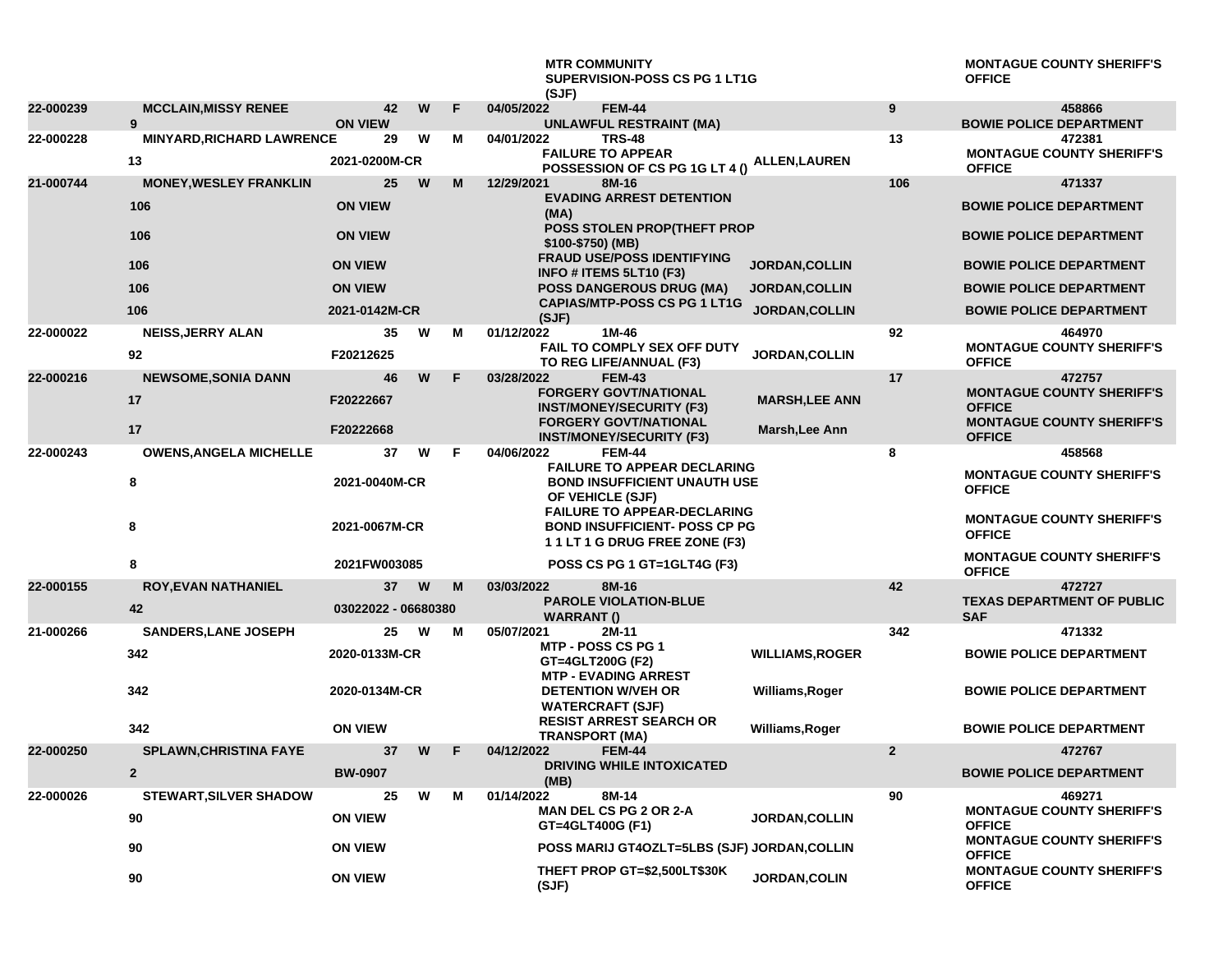## **MTR COMMUNITY SUPERVISION-POSS CS PG 1 LT1G (SJF)**

**MONTAGUE COUNTY SHERIFF'S OFFICE**

| 22-000239 | <b>MCCLAIN, MISSY RENEE</b>           | 42                   | W | F | 04/05/2022<br><b>FEM-44</b>                                                                                | $\overline{9}$         | 458866                                            |
|-----------|---------------------------------------|----------------------|---|---|------------------------------------------------------------------------------------------------------------|------------------------|---------------------------------------------------|
| 22-000228 | 9<br><b>MINYARD, RICHARD LAWRENCE</b> | <b>ON VIEW</b><br>29 | W | M | <b>UNLAWFUL RESTRAINT (MA)</b><br>04/01/2022<br><b>TRS-48</b>                                              | 13                     | <b>BOWIE POLICE DEPARTMENT</b><br>472381          |
|           | 13                                    | 2021-0200M-CR        |   |   | <b>FAILURE TO APPEAR</b><br>POSSESSION OF CS PG 1G LT 4 ()                                                 | <b>ALLEN, LAUREN</b>   | <b>MONTAGUE COUNTY SHERIFF'S</b><br><b>OFFICE</b> |
| 21-000744 | <b>MONEY, WESLEY FRANKLIN</b>         | 25                   | W | M | 12/29/2021<br>8M-16                                                                                        | 106                    | 471337                                            |
|           | 106                                   | <b>ON VIEW</b>       |   |   | <b>EVADING ARREST DETENTION</b><br>(MA)                                                                    |                        | <b>BOWIE POLICE DEPARTMENT</b>                    |
|           | 106                                   | <b>ON VIEW</b>       |   |   | POSS STOLEN PROP(THEFT PROP<br>\$100-\$750) (MB)<br><b>FRAUD USE/POSS IDENTIFYING</b>                      |                        | <b>BOWIE POLICE DEPARTMENT</b>                    |
|           | 106                                   | <b>ON VIEW</b>       |   |   | INFO # ITEMS 5LT10 (F3)                                                                                    | JORDAN, COLLIN         | <b>BOWIE POLICE DEPARTMENT</b>                    |
|           | 106                                   | <b>ON VIEW</b>       |   |   | <b>POSS DANGEROUS DRUG (MA)</b>                                                                            | <b>JORDAN, COLLIN</b>  | <b>BOWIE POLICE DEPARTMENT</b>                    |
|           | 106                                   | 2021-0142M-CR        |   |   | <b>CAPIAS/MTP-POSS CS PG 1 LT1G</b><br>(SJF)                                                               | <b>JORDAN, COLLIN</b>  | <b>BOWIE POLICE DEPARTMENT</b>                    |
| 22-000022 | <b>NEISS, JERRY ALAN</b>              | 35                   | W | м | 01/12/2022<br>1M-46                                                                                        | 92                     | 464970                                            |
|           | 92                                    | F20212625            |   |   | FAIL TO COMPLY SEX OFF DUTY<br>TO REG LIFE/ANNUAL (F3)                                                     | <b>JORDAN, COLLIN</b>  | <b>MONTAGUE COUNTY SHERIFF'S</b><br><b>OFFICE</b> |
| 22-000216 | <b>NEWSOME, SONIA DANN</b>            | 46                   | W | F | 03/28/2022<br><b>FEM-43</b>                                                                                | 17                     | 472757                                            |
|           | 17                                    | F20222667            |   |   | <b>FORGERY GOVT/NATIONAL</b><br><b>INST/MONEY/SECURITY (F3)</b>                                            | <b>MARSH, LEE ANN</b>  | <b>MONTAGUE COUNTY SHERIFF'S</b><br><b>OFFICE</b> |
|           | 17                                    | F20222668            |   |   | <b>FORGERY GOVT/NATIONAL</b><br><b>INST/MONEY/SECURITY (F3)</b>                                            | Marsh, Lee Ann         | <b>MONTAGUE COUNTY SHERIFF'S</b><br><b>OFFICE</b> |
| 22-000243 | <b>OWENS, ANGELA MICHELLE</b>         | 37                   | W | F | 04/06/2022<br><b>FEM-44</b>                                                                                | 8                      | 458568                                            |
|           | 8                                     | 2021-0040M-CR        |   |   | <b>FAILURE TO APPEAR DECLARING</b><br><b>BOND INSUFFICIENT UNAUTH USE</b><br>OF VEHICLE (SJF)              |                        | <b>MONTAGUE COUNTY SHERIFF'S</b><br><b>OFFICE</b> |
|           | 8                                     | 2021-0067M-CR        |   |   | <b>FAILURE TO APPEAR-DECLARING</b><br><b>BOND INSUFFICIENT- POSS CP PG</b><br>11LT 1 G DRUG FREE ZONE (F3) |                        | <b>MONTAGUE COUNTY SHERIFF'S</b><br><b>OFFICE</b> |
|           | 8                                     | 2021FW003085         |   |   | POSS CS PG 1 GT=1GLT4G (F3)                                                                                |                        | <b>MONTAGUE COUNTY SHERIFF'S</b><br><b>OFFICE</b> |
| 22-000155 | <b>ROY, EVAN NATHANIEL</b>            | 37                   | W | M | 03/03/2022<br>8M-16                                                                                        | 42                     | 472727                                            |
|           | 42                                    | 03022022 - 06680380  |   |   | <b>PAROLE VIOLATION-BLUE</b><br><b>WARRANT()</b>                                                           |                        | <b>TEXAS DEPARTMENT OF PUBLIC</b><br><b>SAF</b>   |
| 21-000266 | <b>SANDERS, LANE JOSEPH</b>           | 25                   | w | м | 05/07/2021<br>2M-11                                                                                        | 342                    | 471332                                            |
|           | 342                                   | 2020-0133M-CR        |   |   | MTP - POSS CS PG 1<br>GT=4GLT200G (F2)<br><b>MTP - EVADING ARREST</b>                                      | <b>WILLIAMS, ROGER</b> | <b>BOWIE POLICE DEPARTMENT</b>                    |
|           | 342                                   | 2020-0134M-CR        |   |   | <b>DETENTION W/VEH OR</b><br><b>WATERCRAFT (SJF)</b>                                                       | Williams, Roger        | <b>BOWIE POLICE DEPARTMENT</b>                    |
|           | 342                                   | <b>ON VIEW</b>       |   |   | <b>RESIST ARREST SEARCH OR</b><br><b>TRANSPORT (MA)</b>                                                    | Williams, Roger        | <b>BOWIE POLICE DEPARTMENT</b>                    |
| 22-000250 | <b>SPLAWN, CHRISTINA FAYE</b>         | 37                   | W | F | 04/12/2022<br><b>FEM-44</b>                                                                                | $\overline{2}$         | 472767                                            |
|           | $\overline{2}$                        | <b>BW-0907</b>       |   |   | <b>DRIVING WHILE INTOXICATED</b><br>(MB)                                                                   |                        | <b>BOWIE POLICE DEPARTMENT</b>                    |
| 22-000026 | <b>STEWART, SILVER SHADOW</b>         | 25                   | W | M | 01/14/2022<br>8M-14                                                                                        | 90                     | 469271                                            |
|           | 90                                    | <b>ON VIEW</b>       |   |   | <b>MAN DEL CS PG 2 OR 2-A</b><br>GT=4GLT400G (F1)                                                          | <b>JORDAN, COLLIN</b>  | <b>MONTAGUE COUNTY SHERIFF'S</b><br><b>OFFICE</b> |
|           | 90                                    | <b>ON VIEW</b>       |   |   | POSS MARIJ GT4OZLT=5LBS (SJF) JORDAN, COLLIN                                                               |                        | <b>MONTAGUE COUNTY SHERIFF'S</b><br><b>OFFICE</b> |
|           | 90                                    | <b>ON VIEW</b>       |   |   | THEFT PROP GT=\$2,500LT\$30K<br>(SJF)                                                                      | JORDAN, COLIN          | <b>MONTAGUE COUNTY SHERIFF'S</b><br><b>OFFICE</b> |